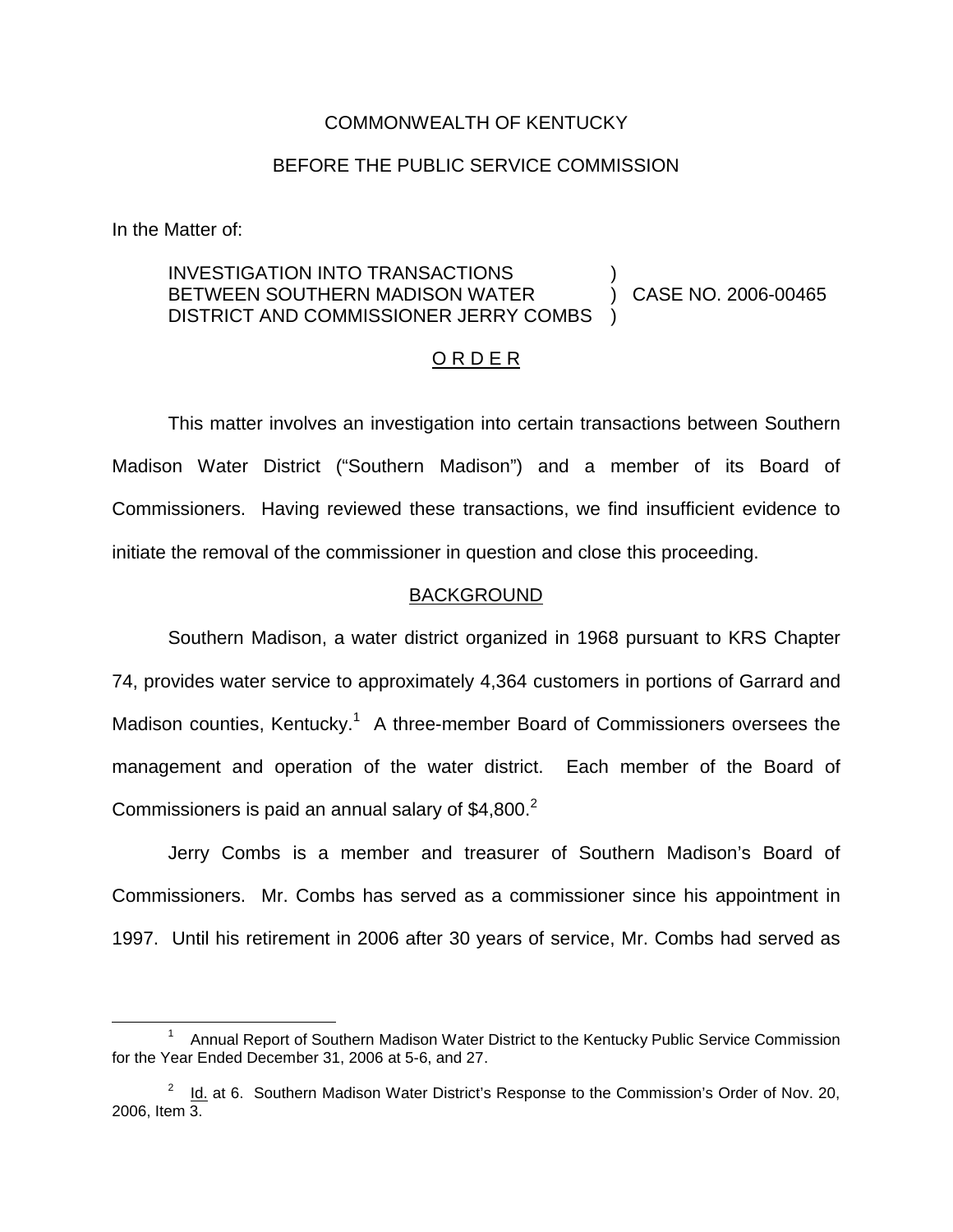#### COMMONWEALTH OF KENTUCKY

#### BEFORE THE PUBLIC SERVICE COMMISSION

In the Matter of:

#### INVESTIGATION INTO TRANSACTIONS BETWEEN SOUTHERN MADISON WATER DISTRICT AND COMMISSIONER JERRY COMBS ) ) CASE NO. 2006-00465 )

## O R D E R

This matter involves an investigation into certain transactions between Southern Madison Water District ("Southern Madison") and a member of its Board of Commissioners. Having reviewed these transactions, we find insufficient evidence to initiate the removal of the commissioner in question and close this proceeding.

#### BACKGROUND

Southern Madison, a water district organized in 1968 pursuant to KRS Chapter 74, provides water service to approximately 4,364 customers in portions of Garrard and Madison counties, Kentucky.<sup>1</sup> A three-member Board of Commissioners oversees the management and operation of the water district. Each member of the Board of Commissioners is paid an annual salary of  $$4,800.<sup>2</sup>$ 

Jerry Combs is a member and treasurer of Southern Madison's Board of Commissioners. Mr. Combs has served as a commissioner since his appointment in 1997. Until his retirement in 2006 after 30 years of service, Mr. Combs had served as

<sup>&</sup>lt;sup>1</sup> Annual Report of Southern Madison Water District to the Kentucky Public Service Commission for the Year Ended December 31, 2006 at 5-6, and 27.

 $2^2$  Id. at 6. Southern Madison Water District's Response to the Commission's Order of Nov. 20, 2006, Item 3.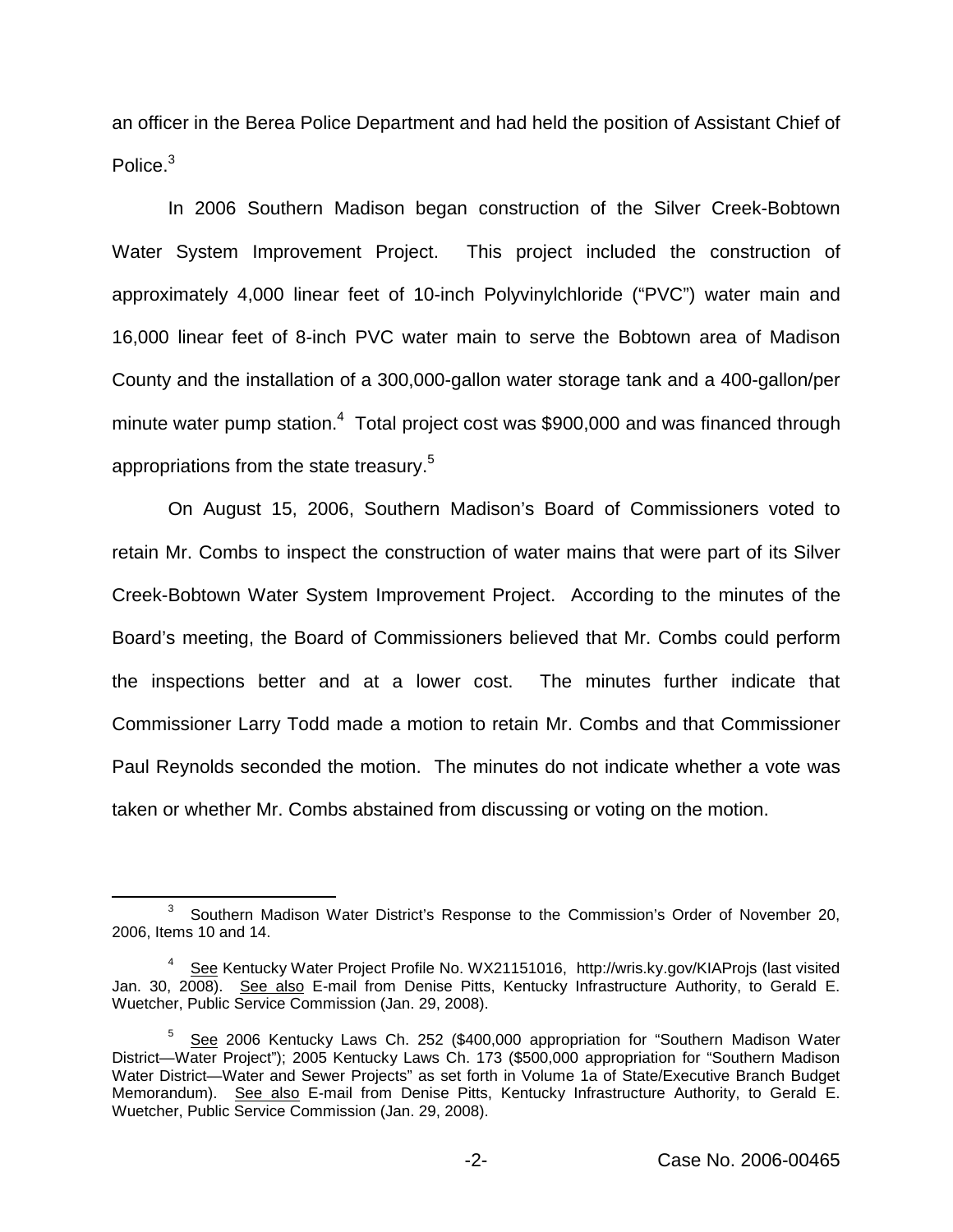an officer in the Berea Police Department and had held the position of Assistant Chief of Police.<sup>3</sup>

In 2006 Southern Madison began construction of the Silver Creek-Bobtown Water System Improvement Project. This project included the construction of approximately 4,000 linear feet of 10-inch Polyvinylchloride ("PVC") water main and 16,000 linear feet of 8-inch PVC water main to serve the Bobtown area of Madison County and the installation of a 300,000-gallon water storage tank and a 400-gallon/per minute water pump station. $4$  Total project cost was \$900,000 and was financed through appropriations from the state treasury.<sup>5</sup>

On August 15, 2006, Southern Madison's Board of Commissioners voted to retain Mr. Combs to inspect the construction of water mains that were part of its Silver Creek-Bobtown Water System Improvement Project. According to the minutes of the Board's meeting, the Board of Commissioners believed that Mr. Combs could perform the inspections better and at a lower cost. The minutes further indicate that Commissioner Larry Todd made a motion to retain Mr. Combs and that Commissioner Paul Reynolds seconded the motion. The minutes do not indicate whether a vote was taken or whether Mr. Combs abstained from discussing or voting on the motion.

<sup>&</sup>lt;sup>3</sup> Southern Madison Water District's Response to the Commission's Order of November 20, 2006, Items 10 and 14.

<sup>4</sup> See Kentucky Water Project Profile No. WX21151016, http://wris.ky.gov/KIAProjs (last visited Jan. 30, 2008). See also E-mail from Denise Pitts, Kentucky Infrastructure Authority, to Gerald E. Wuetcher, Public Service Commission (Jan. 29, 2008).

<sup>5</sup> See 2006 Kentucky Laws Ch. 252 (\$400,000 appropriation for "Southern Madison Water District—Water Project"); 2005 Kentucky Laws Ch. 173 (\$500,000 appropriation for "Southern Madison Water District—Water and Sewer Projects" as set forth in Volume 1a of State/Executive Branch Budget Memorandum). See also E-mail from Denise Pitts, Kentucky Infrastructure Authority, to Gerald E. Wuetcher, Public Service Commission (Jan. 29, 2008).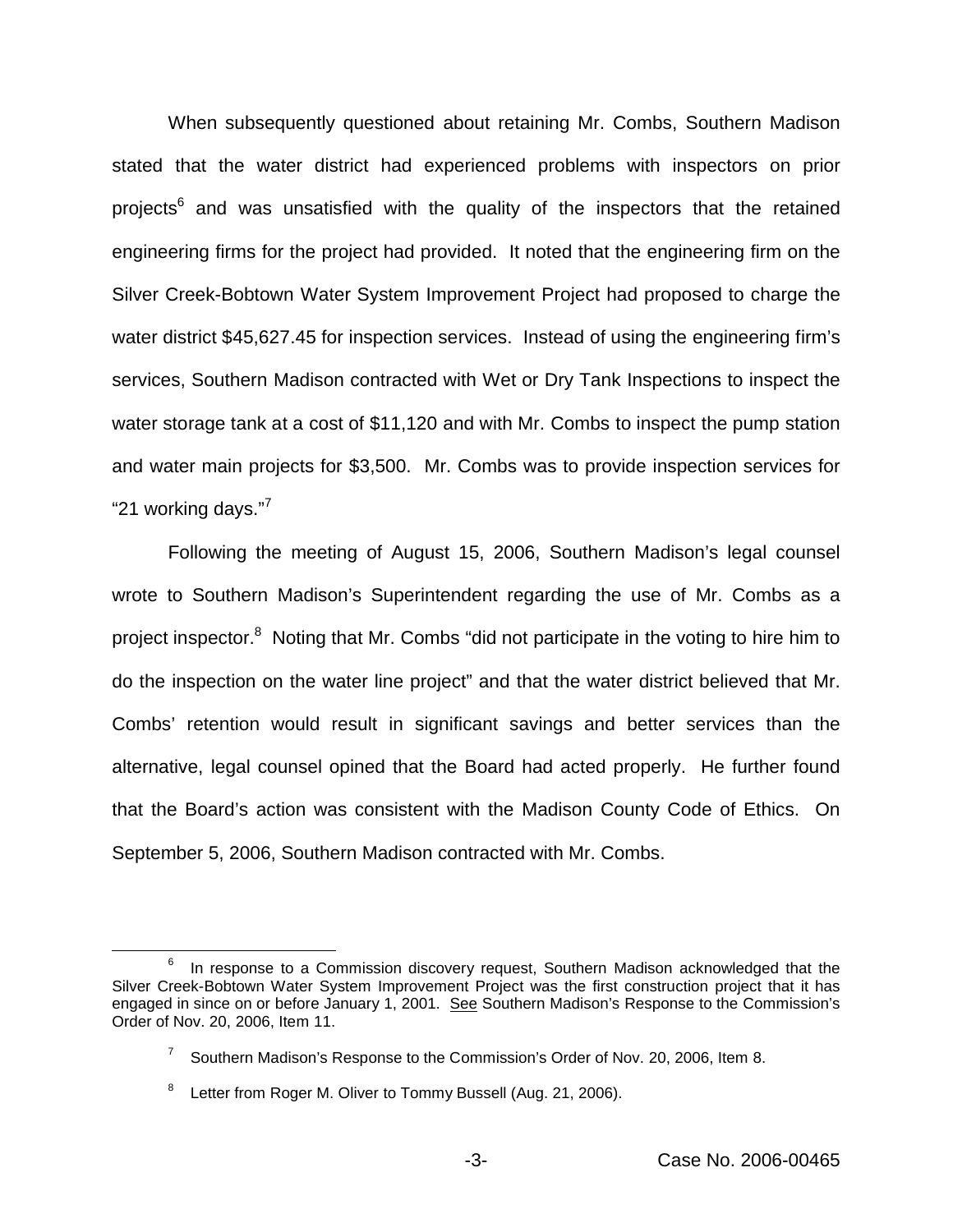When subsequently questioned about retaining Mr. Combs, Southern Madison stated that the water district had experienced problems with inspectors on prior projects $6$  and was unsatisfied with the quality of the inspectors that the retained engineering firms for the project had provided. It noted that the engineering firm on the Silver Creek-Bobtown Water System Improvement Project had proposed to charge the water district \$45,627.45 for inspection services. Instead of using the engineering firm's services, Southern Madison contracted with Wet or Dry Tank Inspections to inspect the water storage tank at a cost of \$11,120 and with Mr. Combs to inspect the pump station and water main projects for \$3,500. Mr. Combs was to provide inspection services for "21 working days."<sup>7</sup>

Following the meeting of August 15, 2006, Southern Madison's legal counsel wrote to Southern Madison's Superintendent regarding the use of Mr. Combs as a project inspector.<sup>8</sup> Noting that Mr. Combs "did not participate in the voting to hire him to do the inspection on the water line project" and that the water district believed that Mr. Combs' retention would result in significant savings and better services than the alternative, legal counsel opined that the Board had acted properly. He further found that the Board's action was consistent with the Madison County Code of Ethics. On September 5, 2006, Southern Madison contracted with Mr. Combs.

 $6$  In response to a Commission discovery request, Southern Madison acknowledged that the Silver Creek-Bobtown Water System Improvement Project was the first construction project that it has engaged in since on or before January 1, 2001. See Southern Madison's Response to the Commission's Order of Nov. 20, 2006, Item 11.

 $7$  Southern Madison's Response to the Commission's Order of Nov. 20, 2006, Item 8.

<sup>&</sup>lt;sup>8</sup> Letter from Roger M. Oliver to Tommy Bussell (Aug. 21, 2006).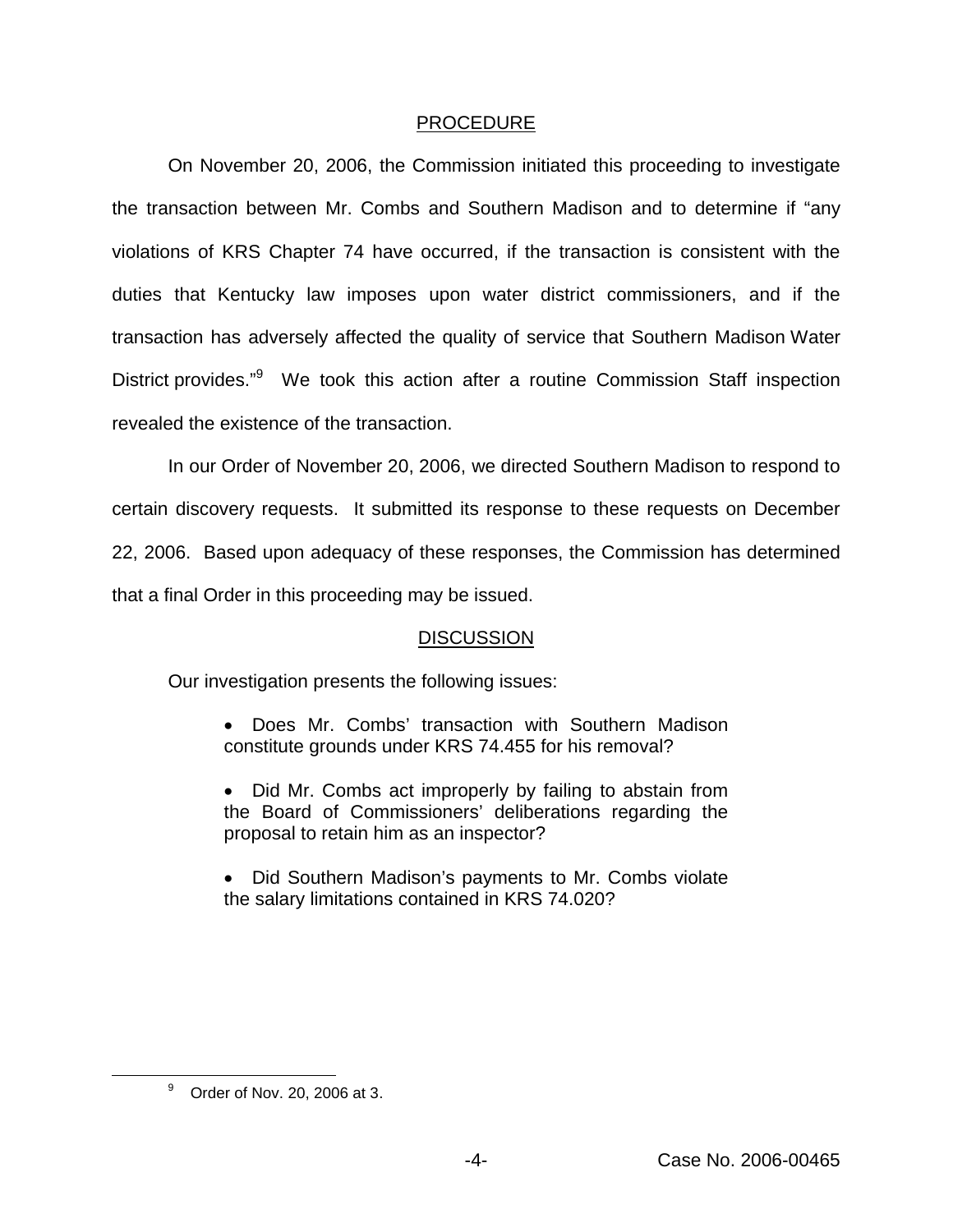### PROCEDURE

On November 20, 2006, the Commission initiated this proceeding to investigate the transaction between Mr. Combs and Southern Madison and to determine if "any violations of KRS Chapter 74 have occurred, if the transaction is consistent with the duties that Kentucky law imposes upon water district commissioners, and if the transaction has adversely affected the quality of service that Southern Madison Water District provides."<sup>9</sup> We took this action after a routine Commission Staff inspection revealed the existence of the transaction.

In our Order of November 20, 2006, we directed Southern Madison to respond to certain discovery requests. It submitted its response to these requests on December 22, 2006. Based upon adequacy of these responses, the Commission has determined that a final Order in this proceeding may be issued.

# **DISCUSSION**

Our investigation presents the following issues:

- Does Mr. Combs' transaction with Southern Madison constitute grounds under KRS 74.455 for his removal?
- Did Mr. Combs act improperly by failing to abstain from the Board of Commissioners' deliberations regarding the proposal to retain him as an inspector?
- Did Southern Madison's payments to Mr. Combs violate the salary limitations contained in KRS 74.020?

<sup>9</sup> Order of Nov. 20, 2006 at 3.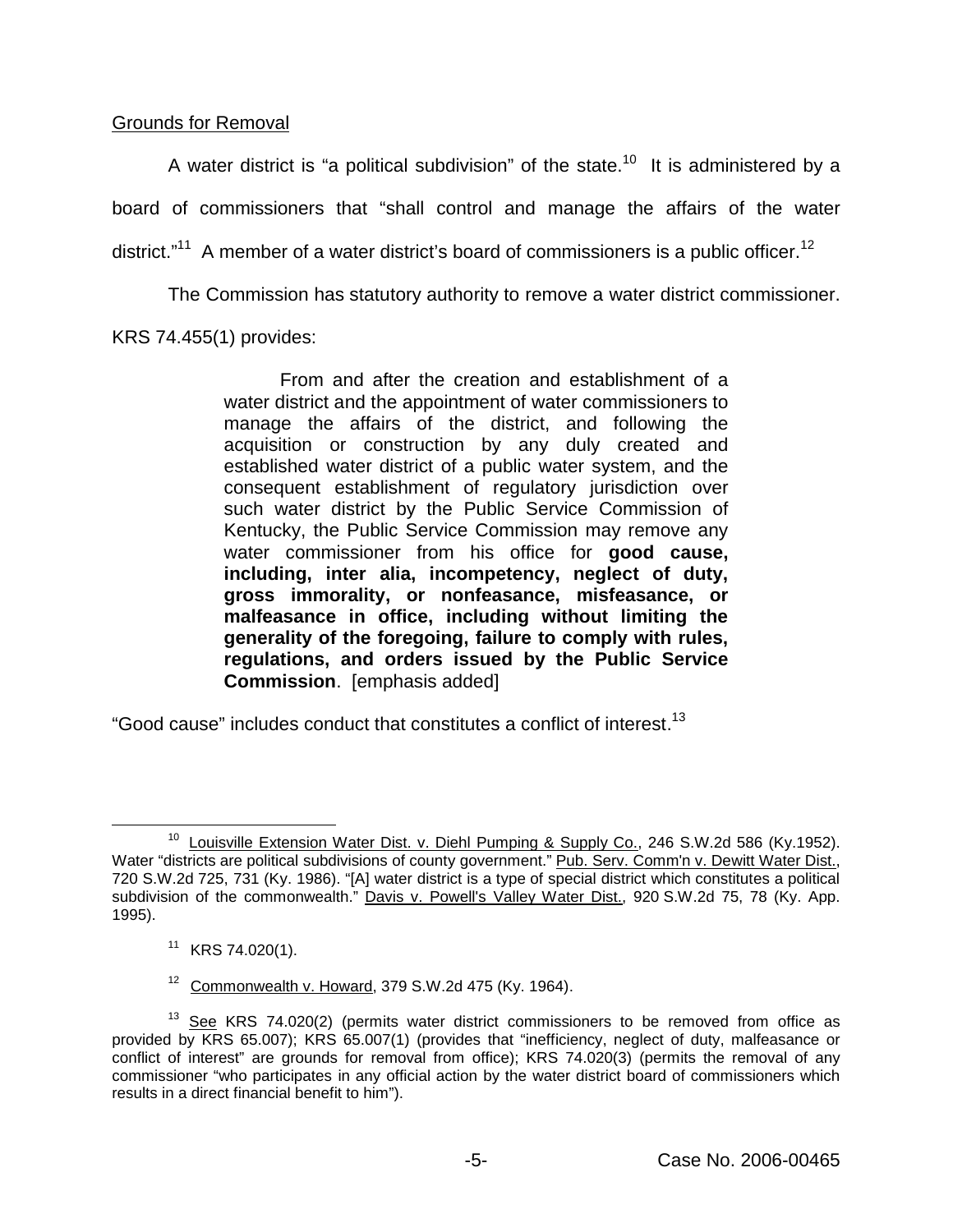## Grounds for Removal

A water district is "a political subdivision" of the state.<sup>10</sup> It is administered by a board of commissioners that "shall control and manage the affairs of the water district."<sup>11</sup> A member of a water district's board of commissioners is a public officer.<sup>12</sup>

The Commission has statutory authority to remove a water district commissioner.

# KRS 74.455(1) provides:

From and after the creation and establishment of a water district and the appointment of water commissioners to manage the affairs of the district, and following the acquisition or construction by any duly created and established water district of a public water system, and the consequent establishment of regulatory jurisdiction over such water district by the Public Service Commission of Kentucky, the Public Service Commission may remove any water commissioner from his office for **good cause, including, inter alia, incompetency, neglect of duty, gross immorality, or nonfeasance, misfeasance, or malfeasance in office, including without limiting the generality of the foregoing, failure to comply with rules, regulations, and orders issued by the Public Service Commission**. [emphasis added]

"Good cause" includes conduct that constitutes a conflict of interest.<sup>13</sup>

<sup>&</sup>lt;sup>10</sup> Louisville Extension Water Dist. v. Diehl Pumping & Supply Co., 246 S.W.2d 586 (Ky.1952). Water "districts are political subdivisions of county government." Pub. Serv. Comm'n v. Dewitt Water Dist., 720 S.W.2d 725, 731 (Ky. 1986). "[A] water district is a type of special district which constitutes a political subdivision of the commonwealth." Davis v. Powell's Valley Water Dist., 920 S.W.2d 75, 78 (Ky. App. 1995).

<sup>11</sup> KRS 74.020(1).

 $12$  Commonwealth v. Howard, 379 S.W.2d 475 (Kv. 1964).

 $13$  See KRS 74.020(2) (permits water district commissioners to be removed from office as provided by KRS 65.007); KRS 65.007(1) (provides that "inefficiency, neglect of duty, malfeasance or conflict of interest" are grounds for removal from office); KRS 74.020(3) (permits the removal of any commissioner "who participates in any official action by the water district board of commissioners which results in a direct financial benefit to him").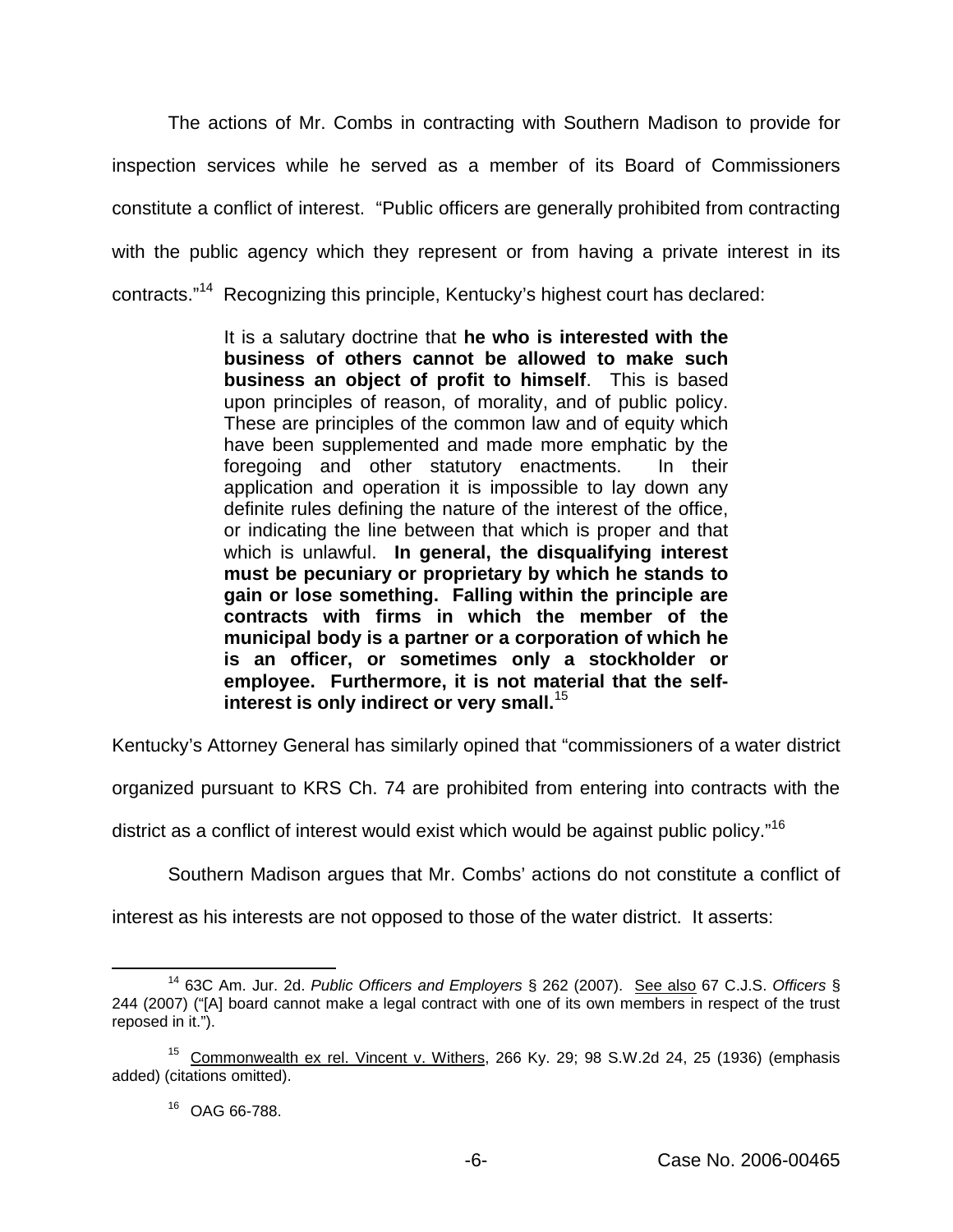The actions of Mr. Combs in contracting with Southern Madison to provide for inspection services while he served as a member of its Board of Commissioners constitute a conflict of interest. "Public officers are generally prohibited from contracting with the public agency which they represent or from having a private interest in its contracts."<sup>14</sup> Recognizing this principle, Kentucky's highest court has declared:

> It is a salutary doctrine that **he who is interested with the business of others cannot be allowed to make such business an object of profit to himself**. This is based upon principles of reason, of morality, and of public policy. These are principles of the common law and of equity which have been supplemented and made more emphatic by the foregoing and other statutory enactments. In their application and operation it is impossible to lay down any definite rules defining the nature of the interest of the office, or indicating the line between that which is proper and that which is unlawful. **In general, the disqualifying interest must be pecuniary or proprietary by which he stands to gain or lose something. Falling within the principle are contracts with firms in which the member of the municipal body is a partner or a corporation of which he is an officer, or sometimes only a stockholder or employee. Furthermore, it is not material that the selfinterest is only indirect or very small.**<sup>15</sup>

Kentucky's Attorney General has similarly opined that "commissioners of a water district

organized pursuant to KRS Ch. 74 are prohibited from entering into contracts with the

district as a conflict of interest would exist which would be against public policy."<sup>16</sup>

Southern Madison argues that Mr. Combs' actions do not constitute a conflict of

interest as his interests are not opposed to those of the water district. It asserts:

<sup>14</sup> 63C Am. Jur. 2d. *Public Officers and Employers* § 262 (2007). See also 67 C.J.S. *Officers* § 244 (2007) ("[A] board cannot make a legal contract with one of its own members in respect of the trust reposed in it.").

<sup>&</sup>lt;sup>15</sup> Commonwealth ex rel. Vincent v. Withers, 266 Ky. 29; 98 S.W.2d 24, 25 (1936) (emphasis added) (citations omitted).

<sup>16</sup> OAG 66-788.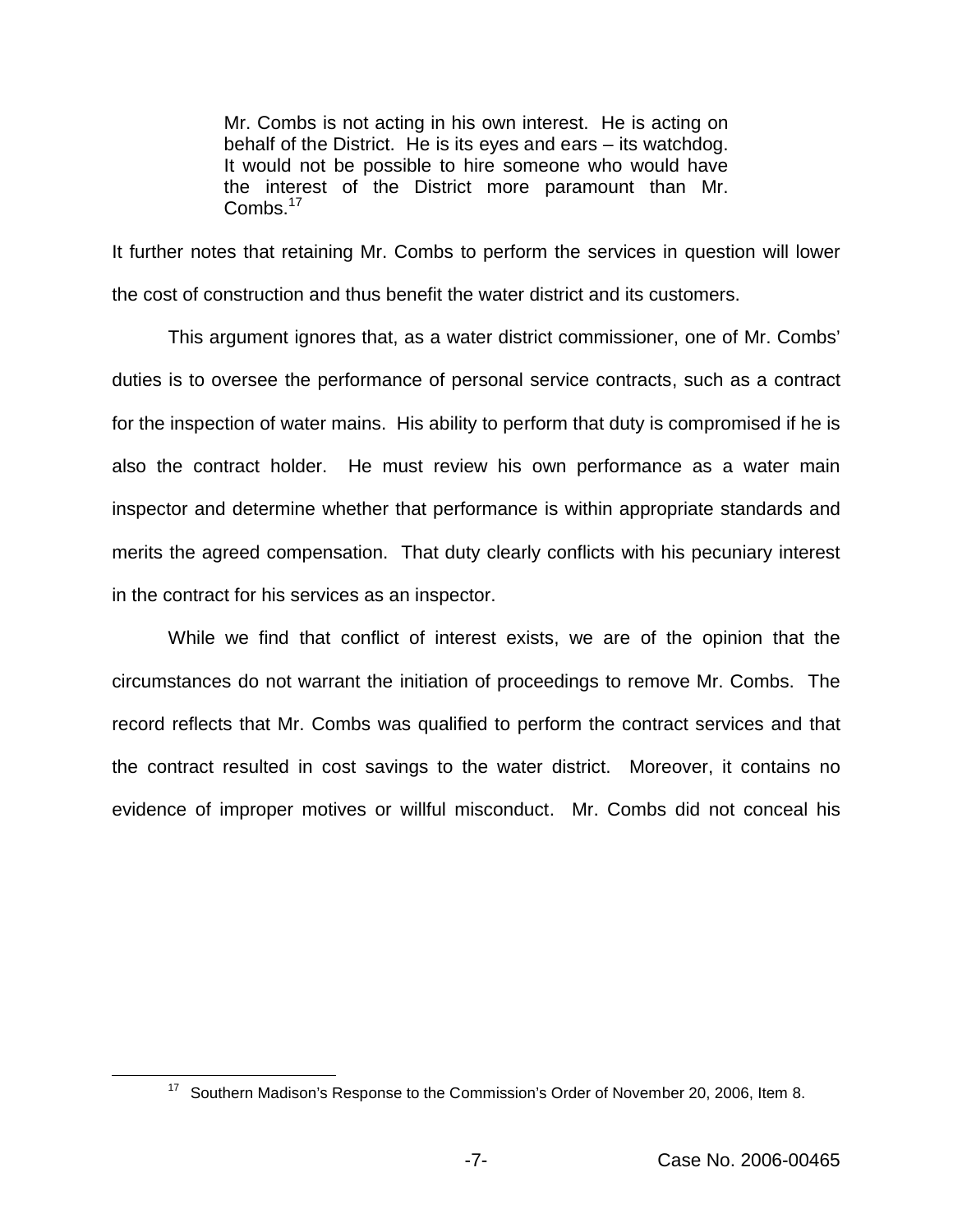Mr. Combs is not acting in his own interest. He is acting on behalf of the District. He is its eyes and ears – its watchdog. It would not be possible to hire someone who would have the interest of the District more paramount than Mr.  $Combs.$ <sup>17</sup>

It further notes that retaining Mr. Combs to perform the services in question will lower the cost of construction and thus benefit the water district and its customers.

This argument ignores that, as a water district commissioner, one of Mr. Combs' duties is to oversee the performance of personal service contracts, such as a contract for the inspection of water mains. His ability to perform that duty is compromised if he is also the contract holder. He must review his own performance as a water main inspector and determine whether that performance is within appropriate standards and merits the agreed compensation. That duty clearly conflicts with his pecuniary interest in the contract for his services as an inspector.

While we find that conflict of interest exists, we are of the opinion that the circumstances do not warrant the initiation of proceedings to remove Mr. Combs. The record reflects that Mr. Combs was qualified to perform the contract services and that the contract resulted in cost savings to the water district. Moreover, it contains no evidence of improper motives or willful misconduct. Mr. Combs did not conceal his

<sup>17</sup> Southern Madison's Response to the Commission's Order of November 20, 2006, Item 8.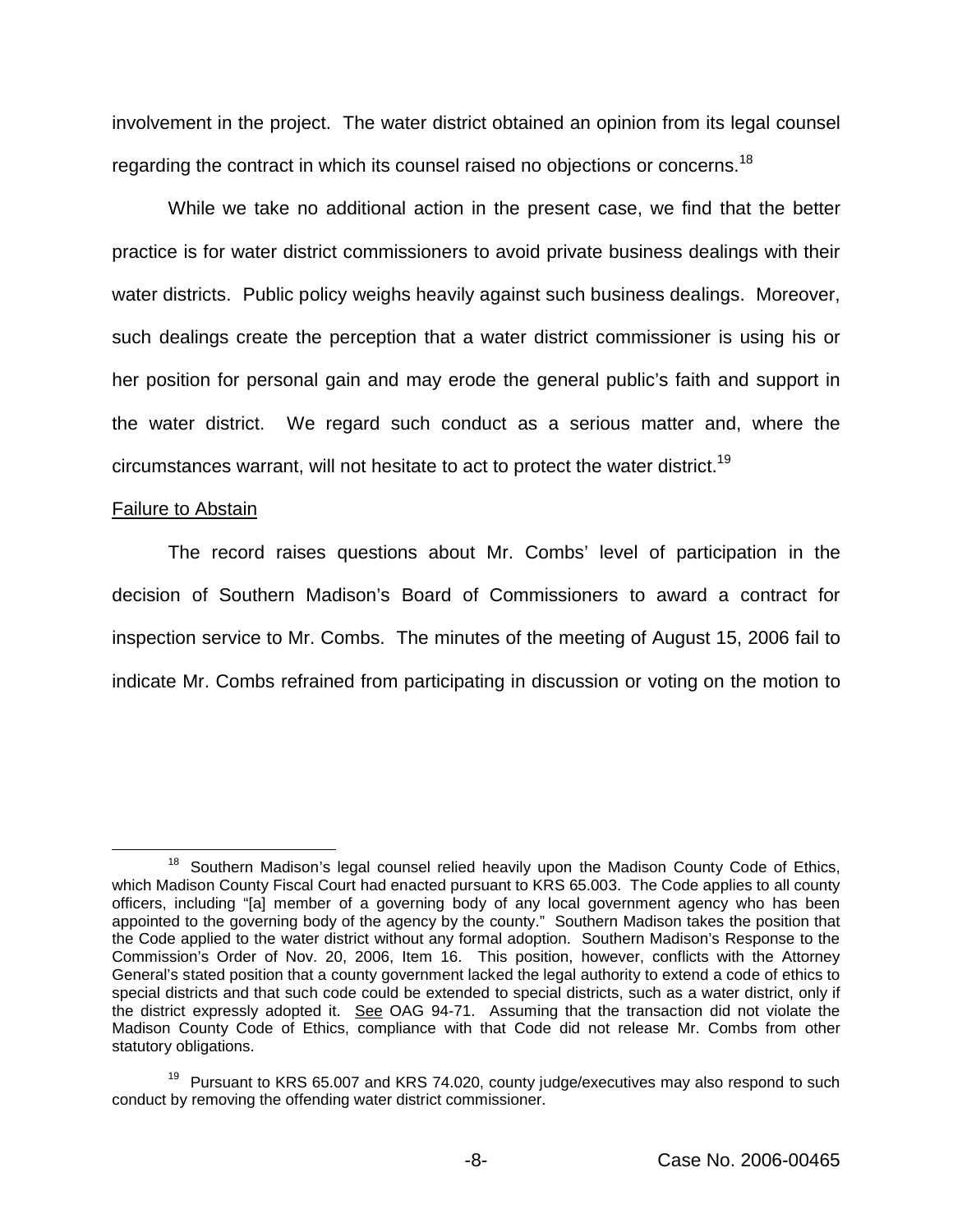involvement in the project. The water district obtained an opinion from its legal counsel regarding the contract in which its counsel raised no objections or concerns.<sup>18</sup>

While we take no additional action in the present case, we find that the better practice is for water district commissioners to avoid private business dealings with their water districts. Public policy weighs heavily against such business dealings. Moreover, such dealings create the perception that a water district commissioner is using his or her position for personal gain and may erode the general public's faith and support in the water district. We regard such conduct as a serious matter and, where the circumstances warrant, will not hesitate to act to protect the water district.<sup>19</sup>

#### Failure to Abstain

The record raises questions about Mr. Combs' level of participation in the decision of Southern Madison's Board of Commissioners to award a contract for inspection service to Mr. Combs. The minutes of the meeting of August 15, 2006 fail to indicate Mr. Combs refrained from participating in discussion or voting on the motion to

<sup>&</sup>lt;sup>18</sup> Southern Madison's legal counsel relied heavily upon the Madison County Code of Ethics, which Madison County Fiscal Court had enacted pursuant to KRS 65.003. The Code applies to all county officers, including "[a] member of a governing body of any local government agency who has been appointed to the governing body of the agency by the county." Southern Madison takes the position that the Code applied to the water district without any formal adoption. Southern Madison's Response to the Commission's Order of Nov. 20, 2006, Item 16. This position, however, conflicts with the Attorney General's stated position that a county government lacked the legal authority to extend a code of ethics to special districts and that such code could be extended to special districts, such as a water district, only if the district expressly adopted it. See OAG 94-71. Assuming that the transaction did not violate the Madison County Code of Ethics, compliance with that Code did not release Mr. Combs from other statutory obligations.

 $19$  Pursuant to KRS 65.007 and KRS 74.020, county judge/executives may also respond to such conduct by removing the offending water district commissioner.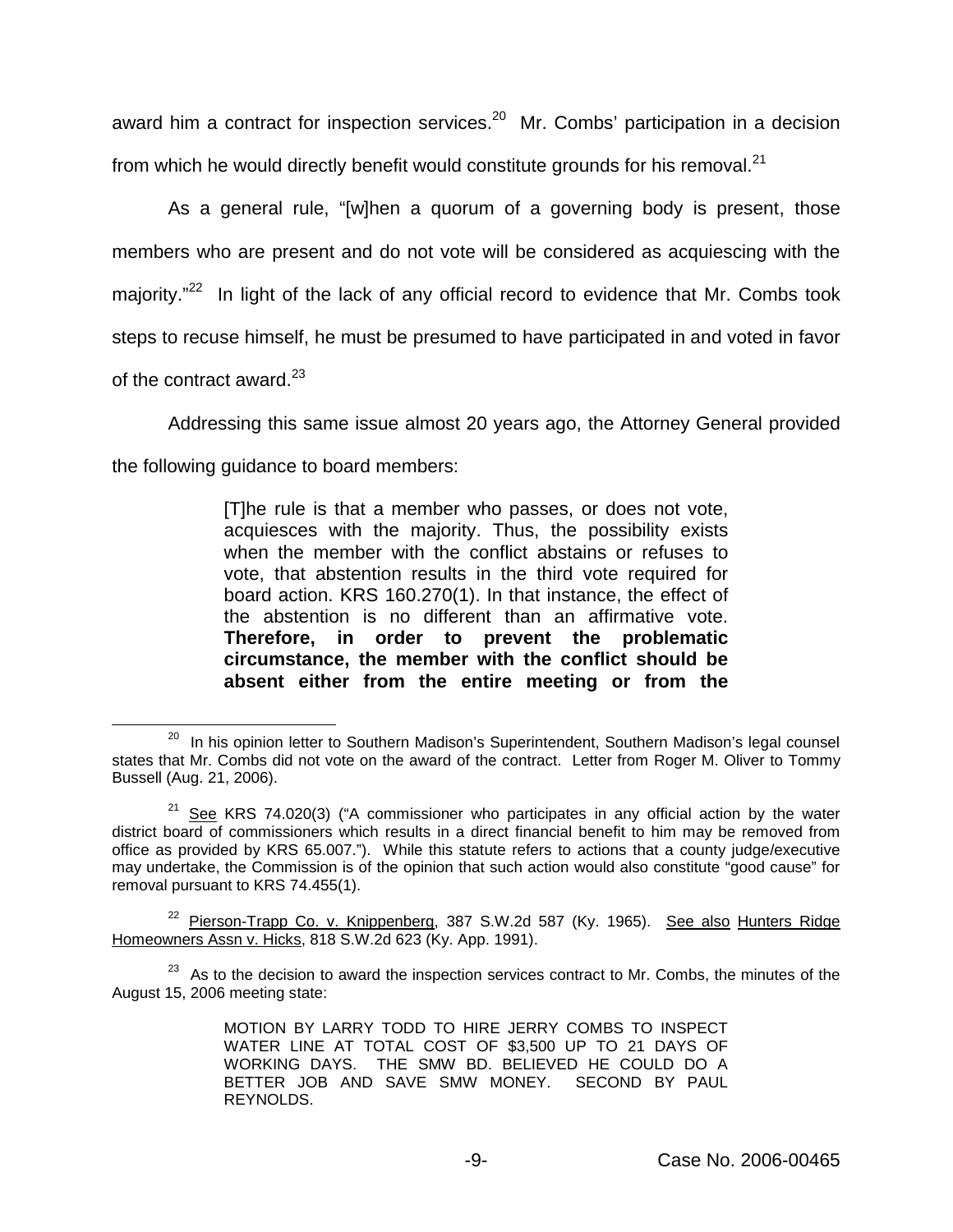award him a contract for inspection services.<sup>20</sup> Mr. Combs' participation in a decision from which he would directly benefit would constitute grounds for his removal. $^{21}$ 

As a general rule, "[w]hen a quorum of a governing body is present, those members who are present and do not vote will be considered as acquiescing with the majority. $12^{22}$  In light of the lack of any official record to evidence that Mr. Combs took steps to recuse himself, he must be presumed to have participated in and voted in favor of the contract award. $^{23}$ 

Addressing this same issue almost 20 years ago, the Attorney General provided

the following guidance to board members:

[T]he rule is that a member who passes, or does not vote, acquiesces with the majority. Thus, the possibility exists when the member with the conflict abstains or refuses to vote, that abstention results in the third vote required for board action. KRS 160.270(1). In that instance, the effect of the abstention is no different than an affirmative vote. **Therefore, in order to prevent the problematic circumstance, the member with the conflict should be absent either from the entire meeting or from the** 

<sup>&</sup>lt;sup>20</sup> In his opinion letter to Southern Madison's Superintendent, Southern Madison's legal counsel states that Mr. Combs did not vote on the award of the contract. Letter from Roger M. Oliver to Tommy Bussell (Aug. 21, 2006).

 $21$  See KRS 74.020(3) ("A commissioner who participates in any official action by the water district board of commissioners which results in a direct financial benefit to him may be removed from office as provided by KRS 65.007."). While this statute refers to actions that a county judge/executive may undertake, the Commission is of the opinion that such action would also constitute "good cause" for removal pursuant to KRS 74.455(1).

<sup>&</sup>lt;sup>22</sup> Pierson-Trapp Co. v. Knippenberg, 387 S.W.2d 587 (Ky. 1965). See also Hunters Ridge Homeowners Assn v. Hicks, 818 S.W.2d 623 (Ky. App. 1991).

 $23$  As to the decision to award the inspection services contract to Mr. Combs, the minutes of the August 15, 2006 meeting state:

MOTION BY LARRY TODD TO HIRE JERRY COMBS TO INSPECT WATER LINE AT TOTAL COST OF \$3,500 UP TO 21 DAYS OF WORKING DAYS. THE SMW BD. BELIEVED HE COULD DO A BETTER JOB AND SAVE SMW MONEY. SECOND BY PAUL REYNOLDS.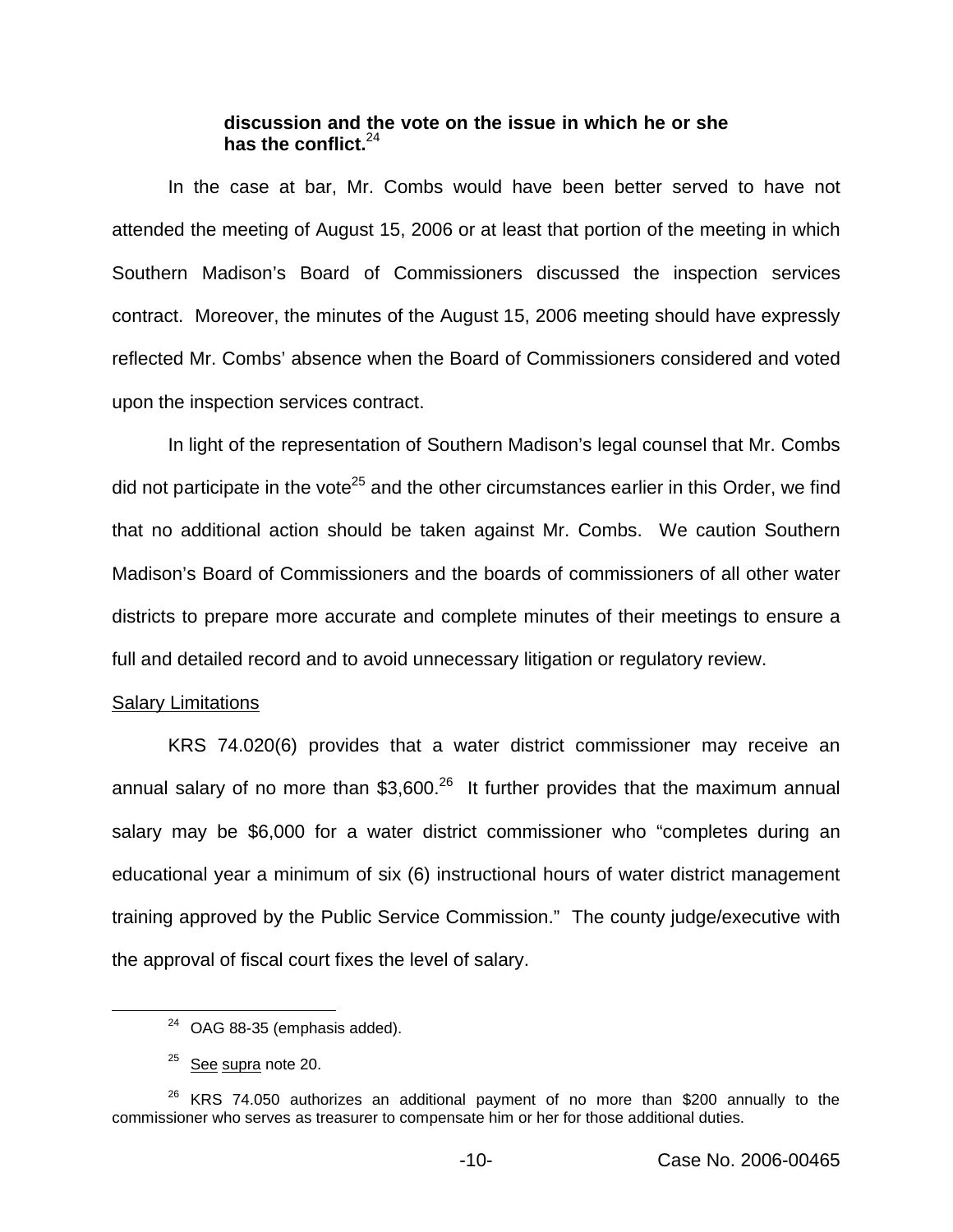### **discussion and the vote on the issue in which he or she has the conflict.**<sup>24</sup>

In the case at bar, Mr. Combs would have been better served to have not attended the meeting of August 15, 2006 or at least that portion of the meeting in which Southern Madison's Board of Commissioners discussed the inspection services contract. Moreover, the minutes of the August 15, 2006 meeting should have expressly reflected Mr. Combs' absence when the Board of Commissioners considered and voted upon the inspection services contract.

In light of the representation of Southern Madison's legal counsel that Mr. Combs did not participate in the vote<sup>25</sup> and the other circumstances earlier in this Order, we find that no additional action should be taken against Mr. Combs. We caution Southern Madison's Board of Commissioners and the boards of commissioners of all other water districts to prepare more accurate and complete minutes of their meetings to ensure a full and detailed record and to avoid unnecessary litigation or regulatory review.

# Salary Limitations

KRS 74.020(6) provides that a water district commissioner may receive an annual salary of no more than  $$3,600<sup>26</sup>$  It further provides that the maximum annual salary may be \$6,000 for a water district commissioner who "completes during an educational year a minimum of six (6) instructional hours of water district management training approved by the Public Service Commission." The county judge/executive with the approval of fiscal court fixes the level of salary.

 $24$  OAG 88-35 (emphasis added).

 $25$  See supra note 20.

 $26$  KRS 74.050 authorizes an additional payment of no more than \$200 annually to the commissioner who serves as treasurer to compensate him or her for those additional duties.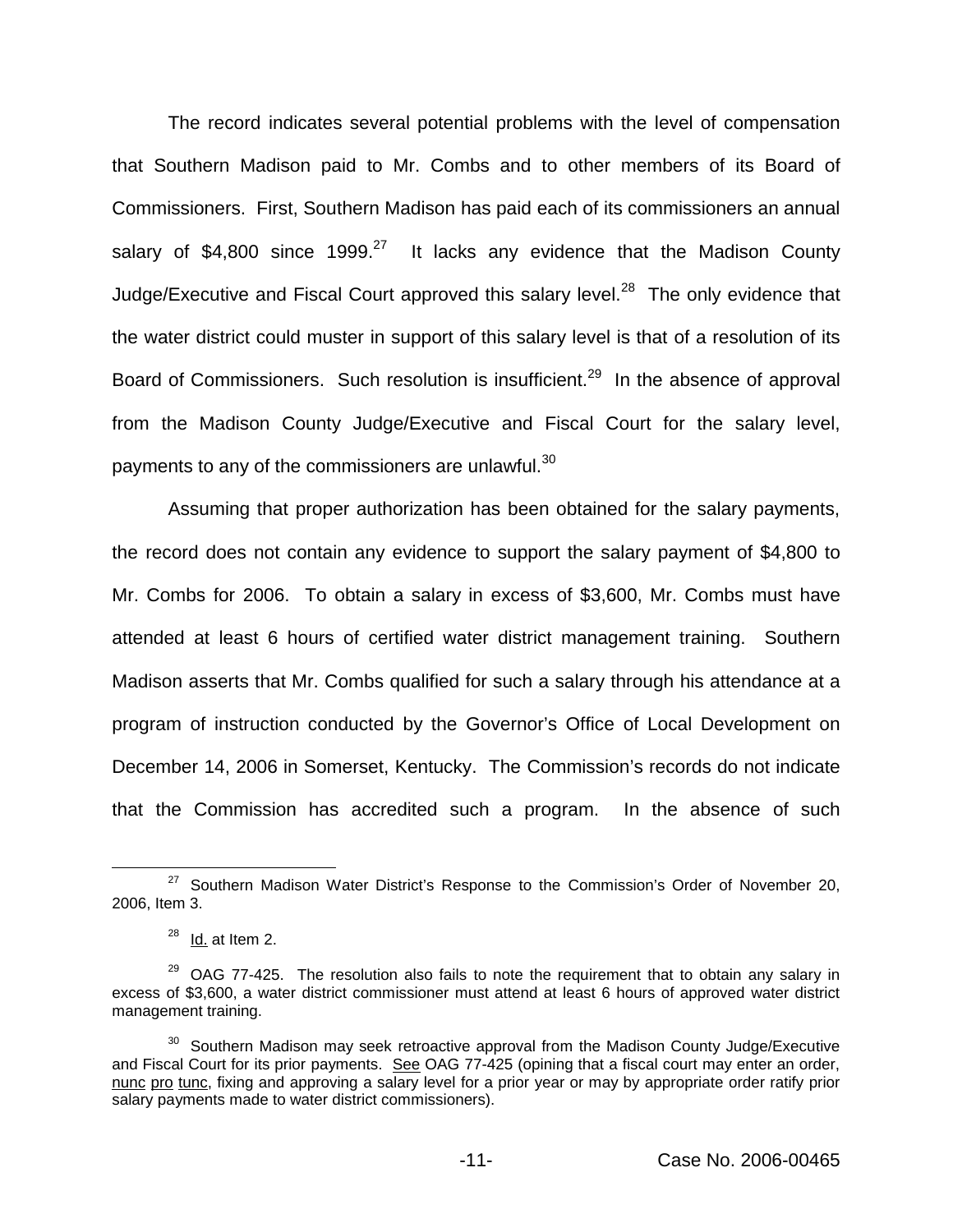The record indicates several potential problems with the level of compensation that Southern Madison paid to Mr. Combs and to other members of its Board of Commissioners. First, Southern Madison has paid each of its commissioners an annual salary of \$4,800 since  $1999.<sup>27</sup>$  It lacks any evidence that the Madison County Judge/Executive and Fiscal Court approved this salary level.<sup>28</sup> The only evidence that the water district could muster in support of this salary level is that of a resolution of its Board of Commissioners. Such resolution is insufficient.<sup>29</sup> In the absence of approval from the Madison County Judge/Executive and Fiscal Court for the salary level, payments to any of the commissioners are unlawful.<sup>30</sup>

Assuming that proper authorization has been obtained for the salary payments, the record does not contain any evidence to support the salary payment of \$4,800 to Mr. Combs for 2006. To obtain a salary in excess of \$3,600, Mr. Combs must have attended at least 6 hours of certified water district management training. Southern Madison asserts that Mr. Combs qualified for such a salary through his attendance at a program of instruction conducted by the Governor's Office of Local Development on December 14, 2006 in Somerset, Kentucky. The Commission's records do not indicate that the Commission has accredited such a program. In the absence of such

 $27$  Southern Madison Water District's Response to the Commission's Order of November 20, 2006, Item 3.

 $28$  Id. at Item 2.

 $29$  OAG 77-425. The resolution also fails to note the requirement that to obtain any salary in excess of \$3,600, a water district commissioner must attend at least 6 hours of approved water district management training.

<sup>&</sup>lt;sup>30</sup> Southern Madison may seek retroactive approval from the Madison County Judge/Executive and Fiscal Court for its prior payments. See OAG 77-425 (opining that a fiscal court may enter an order, nunc pro tunc, fixing and approving a salary level for a prior year or may by appropriate order ratify prior salary payments made to water district commissioners).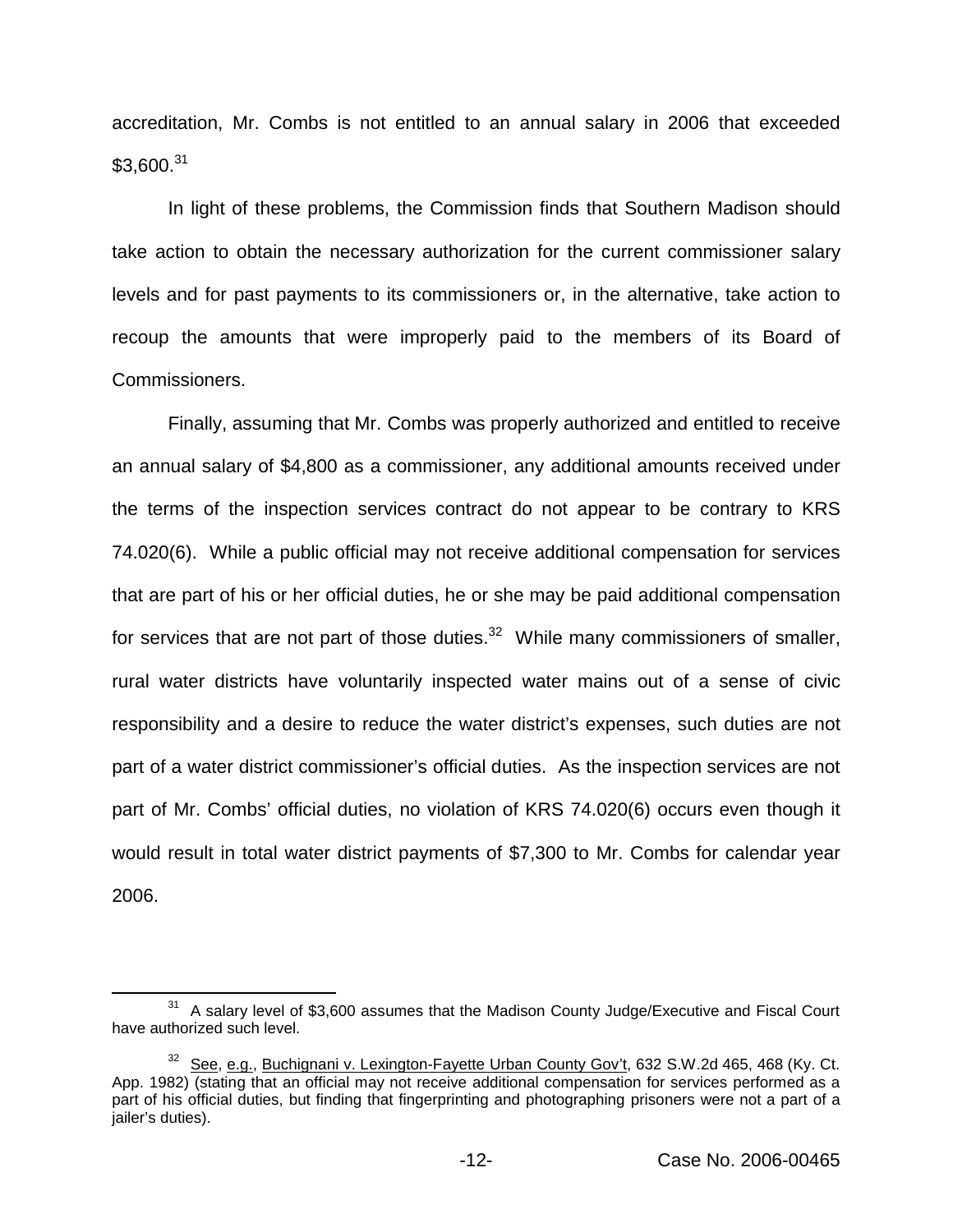accreditation, Mr. Combs is not entitled to an annual salary in 2006 that exceeded \$3,600.<sup>31</sup>

In light of these problems, the Commission finds that Southern Madison should take action to obtain the necessary authorization for the current commissioner salary levels and for past payments to its commissioners or, in the alternative, take action to recoup the amounts that were improperly paid to the members of its Board of Commissioners.

Finally, assuming that Mr. Combs was properly authorized and entitled to receive an annual salary of \$4,800 as a commissioner, any additional amounts received under the terms of the inspection services contract do not appear to be contrary to KRS 74.020(6). While a public official may not receive additional compensation for services that are part of his or her official duties, he or she may be paid additional compensation for services that are not part of those duties. $32$  While many commissioners of smaller, rural water districts have voluntarily inspected water mains out of a sense of civic responsibility and a desire to reduce the water district's expenses, such duties are not part of a water district commissioner's official duties. As the inspection services are not part of Mr. Combs' official duties, no violation of KRS 74.020(6) occurs even though it would result in total water district payments of \$7,300 to Mr. Combs for calendar year 2006.

 $31$  A salary level of \$3,600 assumes that the Madison County Judge/Executive and Fiscal Court have authorized such level.

<sup>&</sup>lt;sup>32</sup> See, e.g., Buchignani v. Lexington-Fayette Urban County Gov't, 632 S.W.2d 465, 468 (Ky. Ct. App. 1982) (stating that an official may not receive additional compensation for services performed as a part of his official duties, but finding that fingerprinting and photographing prisoners were not a part of a jailer's duties).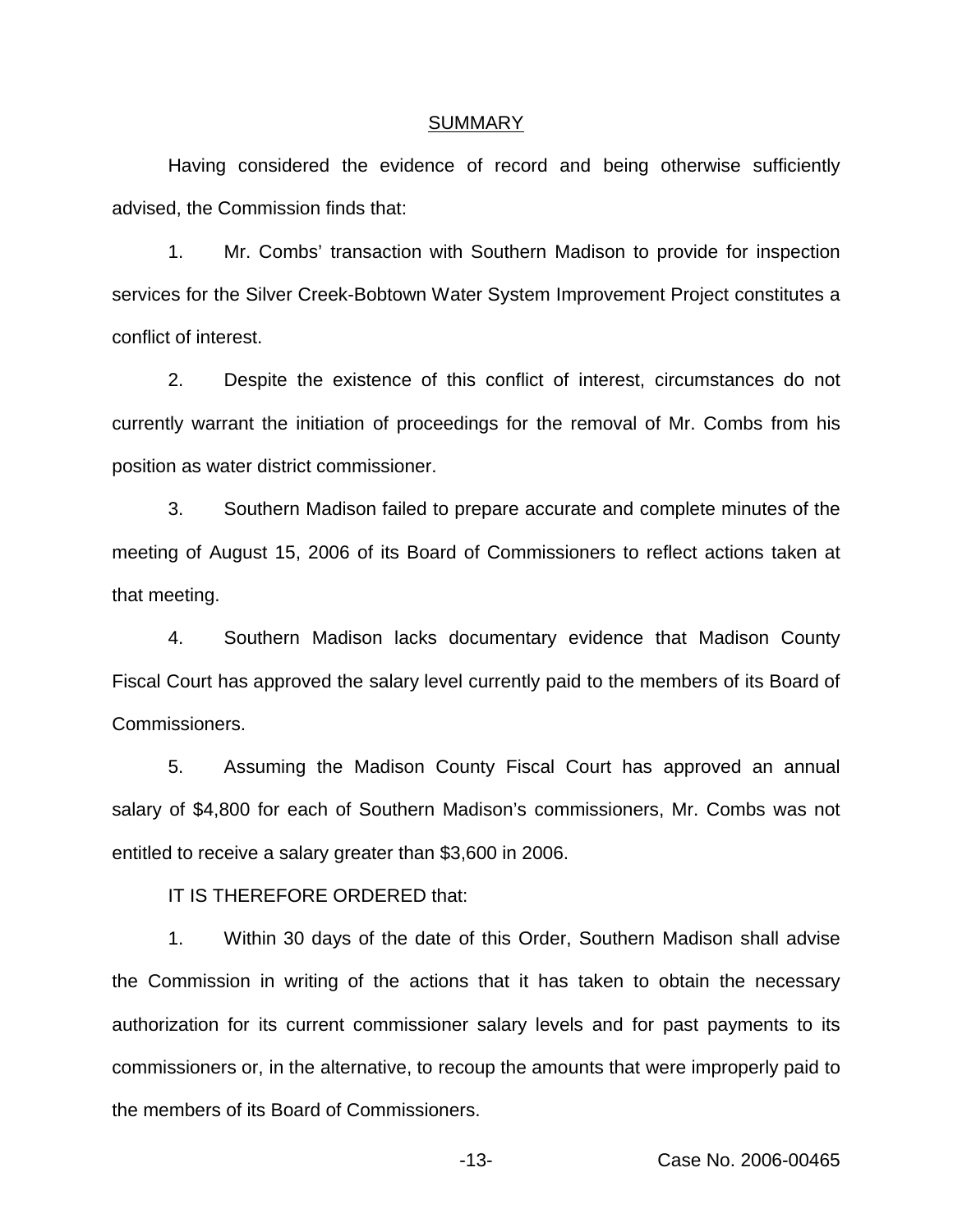#### SUMMARY

Having considered the evidence of record and being otherwise sufficiently advised, the Commission finds that:

1. Mr. Combs' transaction with Southern Madison to provide for inspection services for the Silver Creek-Bobtown Water System Improvement Project constitutes a conflict of interest.

2. Despite the existence of this conflict of interest, circumstances do not currently warrant the initiation of proceedings for the removal of Mr. Combs from his position as water district commissioner.

3. Southern Madison failed to prepare accurate and complete minutes of the meeting of August 15, 2006 of its Board of Commissioners to reflect actions taken at that meeting.

4. Southern Madison lacks documentary evidence that Madison County Fiscal Court has approved the salary level currently paid to the members of its Board of Commissioners.

5. Assuming the Madison County Fiscal Court has approved an annual salary of \$4,800 for each of Southern Madison's commissioners, Mr. Combs was not entitled to receive a salary greater than \$3,600 in 2006.

IT IS THEREFORE ORDERED that:

1. Within 30 days of the date of this Order, Southern Madison shall advise the Commission in writing of the actions that it has taken to obtain the necessary authorization for its current commissioner salary levels and for past payments to its commissioners or, in the alternative, to recoup the amounts that were improperly paid to the members of its Board of Commissioners.